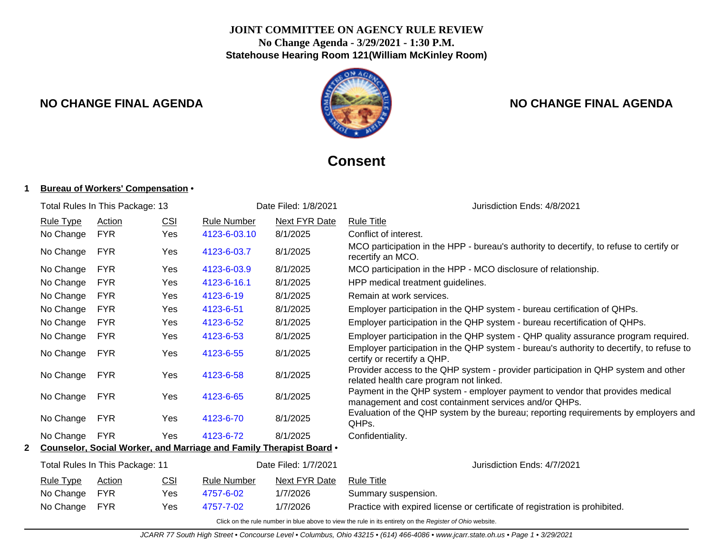## **JOINT COMMITTEE ON AGENCY RULE REVIEW No Change Agenda - 3/29/2021 - 1:30 P.M. Statehouse Hearing Room 121(William McKinley Room)**



## **NO CHANGE FINAL AGENDA NO CHANGE FINAL AGENDA**

# **Consent**

#### **1 Bureau of Workers' Compensation** •

| Total Rules In This Package: 13 |                                 |            | Date Filed: 1/8/2021 | Jurisdiction Ends: 4/8/2021 |                                                                     |                                                                                                                                       |
|---------------------------------|---------------------------------|------------|----------------------|-----------------------------|---------------------------------------------------------------------|---------------------------------------------------------------------------------------------------------------------------------------|
|                                 | <b>Rule Type</b>                | Action     | CSI                  | <b>Rule Number</b>          | Next FYR Date                                                       | <b>Rule Title</b>                                                                                                                     |
|                                 | No Change                       | <b>FYR</b> | Yes                  | 4123-6-03.10                | 8/1/2025                                                            | Conflict of interest.                                                                                                                 |
|                                 | No Change                       | FYR        | Yes                  | 4123-6-03.7                 | 8/1/2025                                                            | MCO participation in the HPP - bureau's authority to decertify, to refuse to certify or<br>recertify an MCO.                          |
|                                 | No Change                       | <b>FYR</b> | Yes                  | 4123-6-03.9                 | 8/1/2025                                                            | MCO participation in the HPP - MCO disclosure of relationship.                                                                        |
|                                 | No Change                       | <b>FYR</b> | Yes                  | 4123-6-16.1                 | 8/1/2025                                                            | HPP medical treatment guidelines.                                                                                                     |
|                                 | No Change                       | <b>FYR</b> | Yes                  | 4123-6-19                   | 8/1/2025                                                            | Remain at work services.                                                                                                              |
|                                 | No Change                       | <b>FYR</b> | Yes                  | 4123-6-51                   | 8/1/2025                                                            | Employer participation in the QHP system - bureau certification of QHPs.                                                              |
|                                 | No Change                       | <b>FYR</b> | Yes                  | 4123-6-52                   | 8/1/2025                                                            | Employer participation in the QHP system - bureau recertification of QHPs.                                                            |
|                                 | No Change                       | <b>FYR</b> | Yes                  | 4123-6-53                   | 8/1/2025                                                            | Employer participation in the QHP system - QHP quality assurance program required.                                                    |
|                                 | No Change                       | <b>FYR</b> | Yes                  | 4123-6-55                   | 8/1/2025                                                            | Employer participation in the QHP system - bureau's authority to decertify, to refuse to<br>certify or recertify a QHP.               |
|                                 | No Change                       | <b>FYR</b> | Yes                  | 4123-6-58                   | 8/1/2025                                                            | Provider access to the QHP system - provider participation in QHP system and other<br>related health care program not linked.         |
|                                 | No Change                       | <b>FYR</b> | Yes                  | 4123-6-65                   | 8/1/2025                                                            | Payment in the QHP system - employer payment to vendor that provides medical<br>management and cost containment services and/or QHPs. |
|                                 | No Change                       | <b>FYR</b> | <b>Yes</b>           | 4123-6-70                   | 8/1/2025                                                            | Evaluation of the QHP system by the bureau; reporting requirements by employers and<br>QHP <sub>s</sub> .                             |
|                                 | No Change                       | <b>FYR</b> | Yes                  | 4123-6-72                   | 8/1/2025                                                            | Confidentiality.                                                                                                                      |
|                                 |                                 |            |                      |                             | Counselor, Social Worker, and Marriage and Family Therapist Board . |                                                                                                                                       |
|                                 | Total Rules In This Package: 11 |            |                      | Date Filed: 1/7/2021        | Jurisdiction Ends: 4/7/2021                                         |                                                                                                                                       |
|                                 | Rule Type                       | Action     | <b>CSI</b>           | <b>Rule Number</b>          | Next FYR Date                                                       | <b>Rule Title</b>                                                                                                                     |
|                                 | No Change                       | <b>FYR</b> | Yes.                 | 4757-6-02                   | 1/7/2026                                                            | Summary suspension.                                                                                                                   |
|                                 | No Change                       | <b>FYR</b> | Yes                  | 4757-7-02                   | 1/7/2026                                                            | Practice with expired license or certificate of registration is prohibited.                                                           |
|                                 |                                 |            |                      |                             |                                                                     | Click on the rule number in blue above to view the rule in its entirety on the Register of Ohio website.                              |

JCARR 77 South High Street • Concourse Level • Columbus, Ohio 43215 • (614) 466-4086 • www.jcarr.state.oh.us • Page 1 • 3/29/2021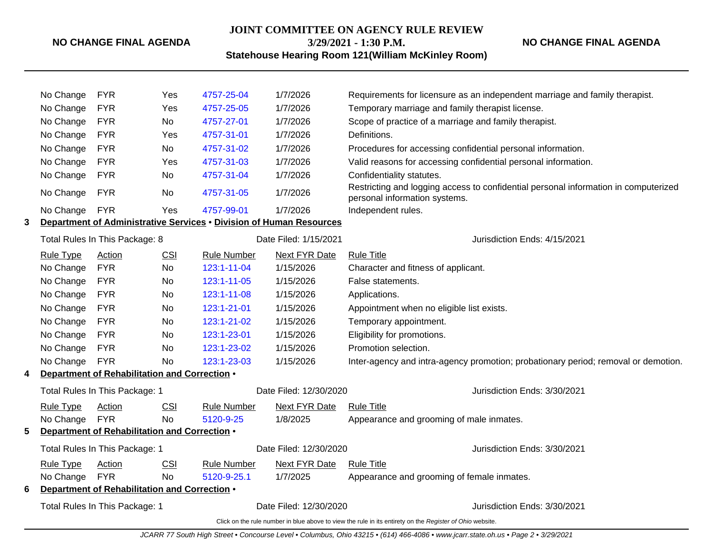### **JOINT COMMITTEE ON AGENCY RULE REVIEW 3/29/2021 - 1:30 P.M.**

**NO CHANGE FINAL AGENDA**

**Statehouse Hearing Room 121(William McKinley Room)**

|   | No Change        | <b>FYR</b>                                              | Yes        | 4757-25-04                                                          | 1/7/2026                     | Requirements for licensure as an independent marriage and family therapist.                                          |
|---|------------------|---------------------------------------------------------|------------|---------------------------------------------------------------------|------------------------------|----------------------------------------------------------------------------------------------------------------------|
|   | No Change        | <b>FYR</b>                                              | Yes        | 4757-25-05                                                          | 1/7/2026                     | Temporary marriage and family therapist license.                                                                     |
|   | No Change        | <b>FYR</b>                                              | <b>No</b>  | 4757-27-01                                                          | 1/7/2026                     | Scope of practice of a marriage and family therapist.                                                                |
|   | No Change        | <b>FYR</b>                                              | Yes        | 4757-31-01                                                          | 1/7/2026                     | Definitions.                                                                                                         |
|   | No Change        | <b>FYR</b>                                              | <b>No</b>  | 4757-31-02                                                          | 1/7/2026                     | Procedures for accessing confidential personal information.                                                          |
|   | No Change        | <b>FYR</b>                                              | <b>Yes</b> | 4757-31-03                                                          | 1/7/2026                     | Valid reasons for accessing confidential personal information.                                                       |
|   | No Change        | <b>FYR</b>                                              | No         | 4757-31-04                                                          | 1/7/2026                     | Confidentiality statutes.                                                                                            |
|   | No Change        | <b>FYR</b>                                              | No.        | 4757-31-05                                                          | 1/7/2026                     | Restricting and logging access to confidential personal information in computerized<br>personal information systems. |
|   | No Change        | <b>FYR</b>                                              | Yes        | 4757-99-01                                                          | 1/7/2026                     | Independent rules.                                                                                                   |
| 3 |                  |                                                         |            | Department of Administrative Services . Division of Human Resources |                              |                                                                                                                      |
|   |                  | Total Rules In This Package: 8<br>Date Filed: 1/15/2021 |            |                                                                     | Jurisdiction Ends: 4/15/2021 |                                                                                                                      |
|   | <b>Rule Type</b> | Action                                                  | <b>CSI</b> | <b>Rule Number</b>                                                  | Next FYR Date                | <b>Rule Title</b>                                                                                                    |
|   | No Change        | <b>FYR</b>                                              | No         | 123:1-11-04                                                         | 1/15/2026                    | Character and fitness of applicant.                                                                                  |
|   | No Change        | <b>FYR</b>                                              | No.        | 123:1-11-05                                                         | 1/15/2026                    | False statements.                                                                                                    |
|   | No Change        | <b>FYR</b>                                              | No         | 123:1-11-08                                                         | 1/15/2026                    | Applications.                                                                                                        |
|   | No Change        | <b>FYR</b>                                              | No         | 123:1-21-01                                                         | 1/15/2026                    | Appointment when no eligible list exists.                                                                            |
|   | No Change        | <b>FYR</b>                                              | No         | 123:1-21-02                                                         | 1/15/2026                    | Temporary appointment.                                                                                               |
|   | No Change        | <b>FYR</b>                                              | No         | 123:1-23-01                                                         | 1/15/2026                    | Eligibility for promotions.                                                                                          |
|   | No Change        | <b>FYR</b>                                              | No.        | 123:1-23-02                                                         | 1/15/2026                    | Promotion selection.                                                                                                 |
|   | No Change        | <b>FYR</b>                                              | No.        | 123:1-23-03                                                         | 1/15/2026                    | Inter-agency and intra-agency promotion; probationary period; removal or demotion.                                   |
| 4 |                  | Department of Rehabilitation and Correction .           |            |                                                                     |                              |                                                                                                                      |
|   |                  | Total Rules In This Package: 1                          |            |                                                                     | Date Filed: 12/30/2020       | Jurisdiction Ends: 3/30/2021                                                                                         |
|   | Rule Type        | Action                                                  | CSI        | <b>Rule Number</b>                                                  | Next FYR Date                | <b>Rule Title</b>                                                                                                    |
|   | No Change        | <b>FYR</b>                                              | <b>No</b>  | 5120-9-25                                                           | 1/8/2025                     | Appearance and grooming of male inmates.                                                                             |
| 5 |                  | Department of Rehabilitation and Correction .           |            |                                                                     |                              |                                                                                                                      |
|   |                  | Total Rules In This Package: 1                          |            |                                                                     | Date Filed: 12/30/2020       | Jurisdiction Ends: 3/30/2021                                                                                         |
|   | <b>Rule Type</b> | Action                                                  | <b>CSI</b> | <b>Rule Number</b>                                                  | <b>Next FYR Date</b>         | <b>Rule Title</b>                                                                                                    |
|   | No Change        | <b>FYR</b>                                              | <b>No</b>  | 5120-9-25.1                                                         | 1/7/2025                     | Appearance and grooming of female inmates.                                                                           |
| 6 |                  | Department of Rehabilitation and Correction .           |            |                                                                     |                              |                                                                                                                      |
|   |                  | Total Rules In This Package: 1                          |            |                                                                     | Date Filed: 12/30/2020       | Jurisdiction Ends: 3/30/2021                                                                                         |
|   |                  |                                                         |            |                                                                     |                              | Click on the rule number in blue above to view the rule in its entirety on the Register of Ohio website.             |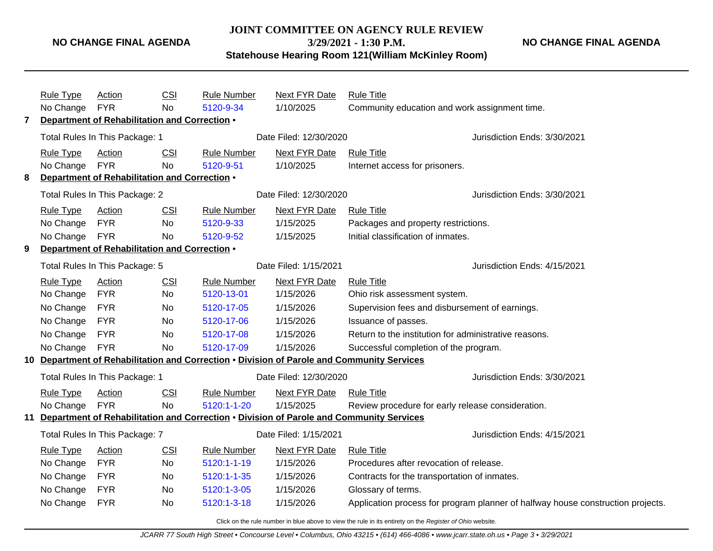#### **JOINT COMMITTEE ON AGENCY RULE REVIEW**

**3/29/2021 - 1:30 P.M.**

**NO CHANGE FINAL AGENDA**

**Statehouse Hearing Room 121(William McKinley Room)**

|   | <b>Rule Type</b>                              | Action                                        | CSI        | Rule Number        | Next FYR Date          | <b>Rule Title</b>                                                                          |                                                                                 |  |  |
|---|-----------------------------------------------|-----------------------------------------------|------------|--------------------|------------------------|--------------------------------------------------------------------------------------------|---------------------------------------------------------------------------------|--|--|
|   | No Change FYR                                 |                                               | <b>No</b>  | 5120-9-34          | 1/10/2025              | Community education and work assignment time.                                              |                                                                                 |  |  |
| 7 | Department of Rehabilitation and Correction . |                                               |            |                    |                        |                                                                                            |                                                                                 |  |  |
|   | Total Rules In This Package: 1                |                                               |            |                    | Date Filed: 12/30/2020 |                                                                                            | Jurisdiction Ends: 3/30/2021                                                    |  |  |
|   | Rule Type                                     | Action                                        | <b>CSI</b> | <b>Rule Number</b> | Next FYR Date          | <b>Rule Title</b>                                                                          |                                                                                 |  |  |
|   | No Change FYR                                 |                                               | <b>No</b>  | 5120-9-51          | 1/10/2025              | Internet access for prisoners.                                                             |                                                                                 |  |  |
| 8 |                                               | Department of Rehabilitation and Correction . |            |                    |                        |                                                                                            |                                                                                 |  |  |
|   |                                               | Total Rules In This Package: 2                |            |                    | Date Filed: 12/30/2020 |                                                                                            | Jurisdiction Ends: 3/30/2021                                                    |  |  |
|   | <b>Rule Type</b>                              | Action                                        | <b>CSI</b> | <b>Rule Number</b> | Next FYR Date          | <b>Rule Title</b>                                                                          |                                                                                 |  |  |
|   | No Change                                     | <b>FYR</b>                                    | No         | 5120-9-33          | 1/15/2025              | Packages and property restrictions.                                                        |                                                                                 |  |  |
|   | No Change FYR                                 |                                               | <b>No</b>  | 5120-9-52          | 1/15/2025              | Initial classification of inmates.                                                         |                                                                                 |  |  |
| 9 |                                               | Department of Rehabilitation and Correction . |            |                    |                        |                                                                                            |                                                                                 |  |  |
|   |                                               | Total Rules In This Package: 5                |            |                    | Date Filed: 1/15/2021  |                                                                                            | Jurisdiction Ends: 4/15/2021                                                    |  |  |
|   | <b>Rule Type</b>                              | Action                                        | <b>CSI</b> | <b>Rule Number</b> | Next FYR Date          | <b>Rule Title</b>                                                                          |                                                                                 |  |  |
|   | No Change                                     | <b>FYR</b>                                    | No         | 5120-13-01         | 1/15/2026              | Ohio risk assessment system.                                                               |                                                                                 |  |  |
|   | No Change                                     | <b>FYR</b>                                    | No         | 5120-17-05         | 1/15/2026              | Supervision fees and disbursement of earnings.                                             |                                                                                 |  |  |
|   | No Change FYR                                 |                                               | No         | 5120-17-06         | 1/15/2026              | Issuance of passes.                                                                        |                                                                                 |  |  |
|   | No Change                                     | <b>FYR</b>                                    | <b>No</b>  | 5120-17-08         | 1/15/2026              | Return to the institution for administrative reasons.                                      |                                                                                 |  |  |
|   | No Change FYR                                 |                                               | No         | 5120-17-09         | 1/15/2026              | Successful completion of the program.                                                      |                                                                                 |  |  |
|   |                                               |                                               |            |                    |                        | 10 Department of Rehabilitation and Correction . Division of Parole and Community Services |                                                                                 |  |  |
|   |                                               | Total Rules In This Package: 1                |            |                    | Date Filed: 12/30/2020 |                                                                                            | Jurisdiction Ends: 3/30/2021                                                    |  |  |
|   | Rule Type                                     | Action                                        | CSI        | <b>Rule Number</b> | Next FYR Date          | <b>Rule Title</b>                                                                          |                                                                                 |  |  |
|   | No Change                                     | <b>FYR</b>                                    | <b>No</b>  | 5120:1-1-20        | 1/15/2025              | Review procedure for early release consideration.                                          |                                                                                 |  |  |
|   |                                               |                                               |            |                    |                        | 11 Department of Rehabilitation and Correction . Division of Parole and Community Services |                                                                                 |  |  |
|   |                                               | Total Rules In This Package: 7                |            |                    | Date Filed: 1/15/2021  |                                                                                            | Jurisdiction Ends: 4/15/2021                                                    |  |  |
|   | <b>Rule Type</b>                              | Action                                        | <b>CSI</b> | <b>Rule Number</b> | <b>Next FYR Date</b>   | <b>Rule Title</b>                                                                          |                                                                                 |  |  |
|   | No Change                                     | <b>FYR</b>                                    | No         | 5120:1-1-19        | 1/15/2026              | Procedures after revocation of release.                                                    |                                                                                 |  |  |
|   | No Change FYR                                 |                                               | No.        | 5120:1-1-35        | 1/15/2026              | Contracts for the transportation of inmates.                                               |                                                                                 |  |  |
|   | No Change                                     | <b>FYR</b>                                    | No         | 5120:1-3-05        | 1/15/2026              | Glossary of terms.                                                                         |                                                                                 |  |  |
|   | No Change                                     | <b>FYR</b>                                    | No         | 5120:1-3-18        | 1/15/2026              |                                                                                            | Application process for program planner of halfway house construction projects. |  |  |
|   |                                               |                                               |            |                    |                        |                                                                                            |                                                                                 |  |  |

Click on the rule number in blue above to view the rule in its entirety on the Register of Ohio website.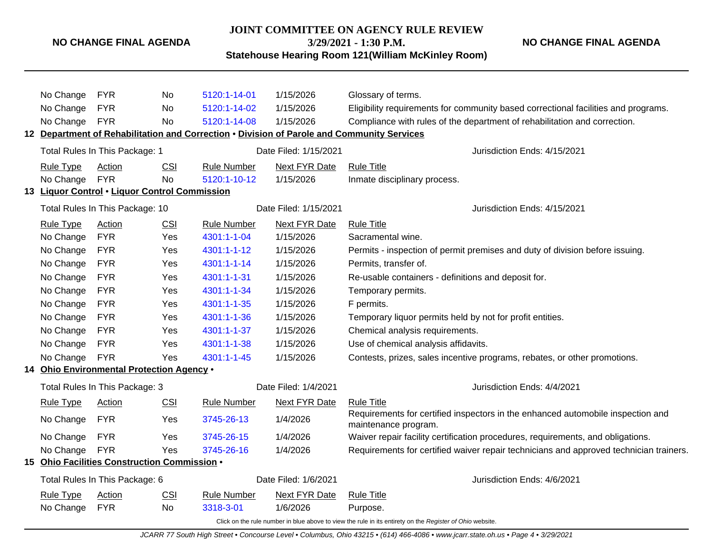**JOINT COMMITTEE ON AGENCY RULE REVIEW**

**3/29/2021 - 1:30 P.M.**

**NO CHANGE FINAL AGENDA**

**Statehouse Hearing Room 121(William McKinley Room)**

|     | No Change        | <b>FYR</b>                                    | No         | 5120:1-14-01       | 1/15/2026             | Glossary of terms.                                                                                       |
|-----|------------------|-----------------------------------------------|------------|--------------------|-----------------------|----------------------------------------------------------------------------------------------------------|
|     | No Change        | <b>FYR</b>                                    | No.        | 5120:1-14-02       | 1/15/2026             | Eligibility requirements for community based correctional facilities and programs.                       |
|     | No Change        | <b>FYR</b>                                    | No         | 5120:1-14-08       | 1/15/2026             | Compliance with rules of the department of rehabilitation and correction.                                |
|     |                  |                                               |            |                    |                       | 12 Department of Rehabilitation and Correction . Division of Parole and Community Services               |
|     |                  | Total Rules In This Package: 1                |            |                    | Date Filed: 1/15/2021 | Jurisdiction Ends: 4/15/2021                                                                             |
|     | <b>Rule Type</b> | <b>Action</b>                                 | <b>CSI</b> | <b>Rule Number</b> | <b>Next FYR Date</b>  | <b>Rule Title</b>                                                                                        |
|     | No Change        | <b>FYR</b>                                    | <b>No</b>  | 5120:1-10-12       | 1/15/2026             | Inmate disciplinary process.                                                                             |
|     |                  | 13 Liquor Control . Liquor Control Commission |            |                    |                       |                                                                                                          |
|     |                  | Total Rules In This Package: 10               |            |                    | Date Filed: 1/15/2021 | Jurisdiction Ends: 4/15/2021                                                                             |
|     | <b>Rule Type</b> | <b>Action</b>                                 | <b>CSI</b> | <b>Rule Number</b> | <b>Next FYR Date</b>  | <b>Rule Title</b>                                                                                        |
|     | No Change        | <b>FYR</b>                                    | Yes        | 4301:1-1-04        | 1/15/2026             | Sacramental wine.                                                                                        |
|     | No Change        | <b>FYR</b>                                    | Yes        | 4301:1-1-12        | 1/15/2026             | Permits - inspection of permit premises and duty of division before issuing.                             |
|     | No Change        | <b>FYR</b>                                    | Yes        | 4301:1-1-14        | 1/15/2026             | Permits, transfer of.                                                                                    |
|     | No Change        | <b>FYR</b>                                    | Yes        | 4301:1-1-31        | 1/15/2026             | Re-usable containers - definitions and deposit for.                                                      |
|     | No Change        | <b>FYR</b>                                    | Yes        | 4301:1-1-34        | 1/15/2026             | Temporary permits.                                                                                       |
|     | No Change        | <b>FYR</b>                                    | Yes        | 4301:1-1-35        | 1/15/2026             | F permits.                                                                                               |
|     | No Change        | <b>FYR</b>                                    | Yes        | 4301:1-1-36        | 1/15/2026             | Temporary liquor permits held by not for profit entities.                                                |
|     | No Change        | <b>FYR</b>                                    | Yes        | 4301:1-1-37        | 1/15/2026             | Chemical analysis requirements.                                                                          |
|     | No Change        | <b>FYR</b>                                    | Yes        | 4301:1-1-38        | 1/15/2026             | Use of chemical analysis affidavits.                                                                     |
|     | No Change        | <b>FYR</b>                                    | Yes        | 4301:1-1-45        | 1/15/2026             | Contests, prizes, sales incentive programs, rebates, or other promotions.                                |
| 14  |                  | Ohio Environmental Protection Agency .        |            |                    |                       |                                                                                                          |
|     |                  | Total Rules In This Package: 3                |            |                    | Date Filed: 1/4/2021  | Jurisdiction Ends: 4/4/2021                                                                              |
|     | <b>Rule Type</b> | Action                                        | <b>CSI</b> | <b>Rule Number</b> | Next FYR Date         | <b>Rule Title</b>                                                                                        |
|     | No Change        | <b>FYR</b>                                    | Yes        | 3745-26-13         | 1/4/2026              | Requirements for certified inspectors in the enhanced automobile inspection and<br>maintenance program.  |
|     | No Change        | <b>FYR</b>                                    | Yes        | 3745-26-15         | 1/4/2026              | Waiver repair facility certification procedures, requirements, and obligations.                          |
|     | No Change        | <b>FYR</b>                                    | Yes        | 3745-26-16         | 1/4/2026              | Requirements for certified waiver repair technicians and approved technician trainers.                   |
| 15. |                  | Ohio Facilities Construction Commission .     |            |                    |                       |                                                                                                          |
|     |                  | Total Rules In This Package: 6                |            |                    | Date Filed: 1/6/2021  | Jurisdiction Ends: 4/6/2021                                                                              |
|     | <b>Rule Type</b> | <b>Action</b>                                 | <b>CSI</b> | <b>Rule Number</b> | Next FYR Date         | <b>Rule Title</b>                                                                                        |
|     | No Change        | <b>FYR</b>                                    | No         | 3318-3-01          | 1/6/2026              | Purpose.                                                                                                 |
|     |                  |                                               |            |                    |                       | Click on the rule number in blue above to view the rule in its entirety on the Register of Ohio website. |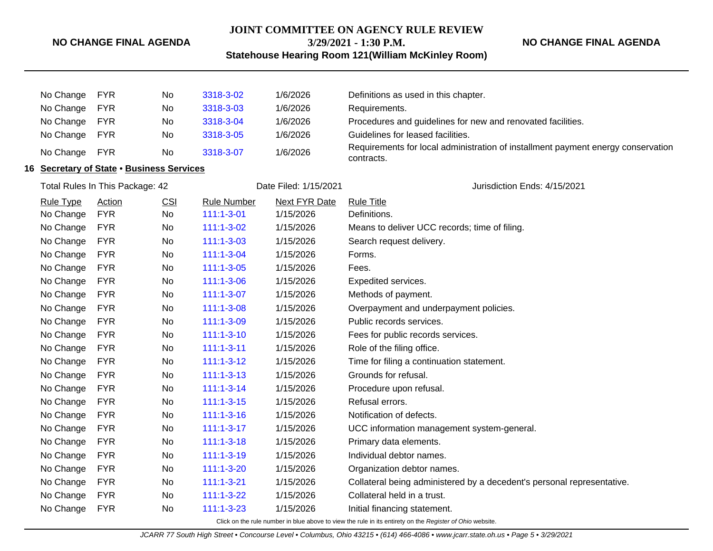#### **JOINT COMMITTEE ON AGENCY RULE REVIEW**

#### **NO CHANGE FINAL AGENDA**

**3/29/2021 - 1:30 P.M.**

**NO CHANGE FINAL AGENDA**

**Statehouse Hearing Room 121(William McKinley Room)**

|                                           | No Change        | <b>FYR</b>                      | No  | 3318-3-02             | 1/6/2026             | Definitions as used in this chapter.                                                                     |
|-------------------------------------------|------------------|---------------------------------|-----|-----------------------|----------------------|----------------------------------------------------------------------------------------------------------|
|                                           | No Change        | <b>FYR</b>                      | No  | 3318-3-03             | 1/6/2026             | Requirements.                                                                                            |
|                                           | No Change        | <b>FYR</b>                      | No  | 3318-3-04             | 1/6/2026             | Procedures and guidelines for new and renovated facilities.                                              |
|                                           | No Change        | <b>FYR</b>                      | No  | 3318-3-05             | 1/6/2026             | Guidelines for leased facilities.                                                                        |
|                                           | No Change        | <b>FYR</b>                      | No  | 3318-3-07             | 1/6/2026             | Requirements for local administration of installment payment energy conservation<br>contracts.           |
| 16 Secretary of State . Business Services |                  |                                 |     |                       |                      |                                                                                                          |
|                                           |                  | Total Rules In This Package: 42 |     | Date Filed: 1/15/2021 |                      | Jurisdiction Ends: 4/15/2021                                                                             |
|                                           | <b>Rule Type</b> | <b>Action</b>                   | CSI | <b>Rule Number</b>    | <b>Next FYR Date</b> | <b>Rule Title</b>                                                                                        |
|                                           | No Change        | <b>FYR</b>                      | No  | $111:1 - 3 - 01$      | 1/15/2026            | Definitions.                                                                                             |
|                                           | No Change        | <b>FYR</b>                      | No  | 111:1-3-02            | 1/15/2026            | Means to deliver UCC records; time of filing.                                                            |
|                                           | No Change        | <b>FYR</b>                      | No  | $111:1 - 3 - 03$      | 1/15/2026            | Search request delivery.                                                                                 |
|                                           | No Change        | <b>FYR</b>                      | No  | $111:1 - 3 - 04$      | 1/15/2026            | Forms.                                                                                                   |
|                                           | No Change        | <b>FYR</b>                      | No  | $111:1 - 3 - 05$      | 1/15/2026            | Fees.                                                                                                    |
|                                           | No Change        | <b>FYR</b>                      | No  | 111:1-3-06            | 1/15/2026            | Expedited services.                                                                                      |
|                                           | No Change        | <b>FYR</b>                      | No  | $111:1 - 3 - 07$      | 1/15/2026            | Methods of payment.                                                                                      |
|                                           | No Change        | <b>FYR</b>                      | No  | $111:1 - 3 - 08$      | 1/15/2026            | Overpayment and underpayment policies.                                                                   |
|                                           | No Change        | <b>FYR</b>                      | No  | 111:1-3-09            | 1/15/2026            | Public records services.                                                                                 |
|                                           | No Change        | <b>FYR</b>                      | No  | $111:1 - 3 - 10$      | 1/15/2026            | Fees for public records services.                                                                        |
|                                           | No Change        | <b>FYR</b>                      | No  | $111:1-3-11$          | 1/15/2026            | Role of the filing office.                                                                               |
|                                           | No Change        | <b>FYR</b>                      | No  | $111:1-3-12$          | 1/15/2026            | Time for filing a continuation statement.                                                                |
|                                           | No Change        | <b>FYR</b>                      | No  | $111:1 - 3 - 13$      | 1/15/2026            | Grounds for refusal.                                                                                     |
|                                           | No Change        | <b>FYR</b>                      | No  | $111:1 - 3 - 14$      | 1/15/2026            | Procedure upon refusal.                                                                                  |
|                                           | No Change        | <b>FYR</b>                      | No  | $111:1 - 3 - 15$      | 1/15/2026            | Refusal errors.                                                                                          |
|                                           | No Change        | <b>FYR</b>                      | No  | $111:1 - 3 - 16$      | 1/15/2026            | Notification of defects.                                                                                 |
|                                           | No Change        | <b>FYR</b>                      | No  | $111:1-3-17$          | 1/15/2026            | UCC information management system-general.                                                               |
|                                           | No Change        | <b>FYR</b>                      | No  | $111:1 - 3 - 18$      | 1/15/2026            | Primary data elements.                                                                                   |
|                                           | No Change        | <b>FYR</b>                      | No  | $111:1 - 3 - 19$      | 1/15/2026            | Individual debtor names.                                                                                 |
|                                           | No Change        | <b>FYR</b>                      | No  | 111:1-3-20            | 1/15/2026            | Organization debtor names.                                                                               |
|                                           | No Change        | <b>FYR</b>                      | No  | $111:1 - 3 - 21$      | 1/15/2026            | Collateral being administered by a decedent's personal representative.                                   |
|                                           | No Change        | <b>FYR</b>                      | No  | $111:1 - 3 - 22$      | 1/15/2026            | Collateral held in a trust.                                                                              |
|                                           | No Change        | <b>FYR</b>                      | No  | $111:1 - 3 - 23$      | 1/15/2026            | Initial financing statement.                                                                             |
|                                           |                  |                                 |     |                       |                      | Click on the rule number in blue above to view the rule in its entirety on the Register of Ohio website. |

JCARR 77 South High Street • Concourse Level • Columbus, Ohio 43215 • (614) 466-4086 • www.jcarr.state.oh.us • Page 5 • 3/29/2021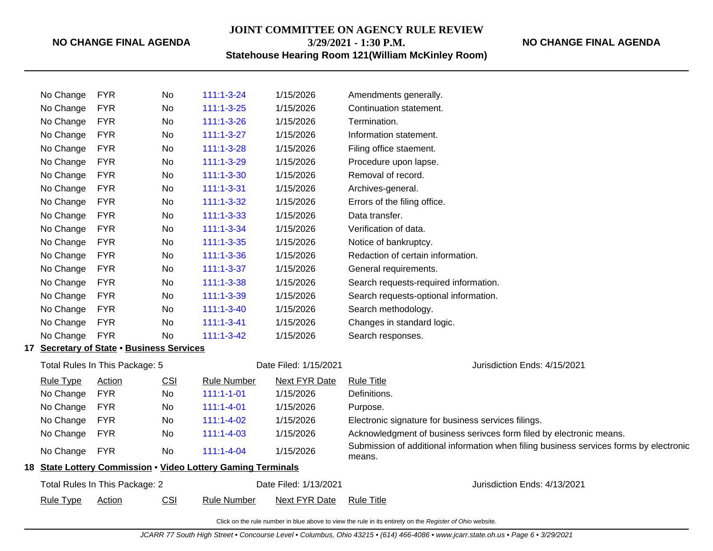### **JOINT COMMITTEE ON AGENCY RULE REVIEW 3/29/2021 - 1:30 P.M.**

**NO CHANGE FINAL AGENDA**

**Statehouse Hearing Room 121(William McKinley Room)**

| No Change                      | <b>FYR</b>                                | No         | $111:1 - 3 - 24$                                             | 1/15/2026             | Amendments generally.                                                                            |
|--------------------------------|-------------------------------------------|------------|--------------------------------------------------------------|-----------------------|--------------------------------------------------------------------------------------------------|
| No Change                      | <b>FYR</b>                                | No         | $111:1 - 3 - 25$                                             | 1/15/2026             | Continuation statement.                                                                          |
| No Change                      | <b>FYR</b>                                | No         | $111:1 - 3 - 26$                                             | 1/15/2026             | Termination.                                                                                     |
| No Change                      | <b>FYR</b>                                | No         | $111:1 - 3 - 27$                                             | 1/15/2026             | Information statement.                                                                           |
| No Change                      | <b>FYR</b>                                | No         | $111:1 - 3 - 28$                                             | 1/15/2026             | Filing office staement.                                                                          |
| No Change                      | <b>FYR</b>                                | No         | 111:1-3-29                                                   | 1/15/2026             | Procedure upon lapse.                                                                            |
| No Change                      | <b>FYR</b>                                | No         | $111:1 - 3 - 30$                                             | 1/15/2026             | Removal of record.                                                                               |
| No Change                      | <b>FYR</b>                                | No         | $111:1 - 3 - 31$                                             | 1/15/2026             | Archives-general.                                                                                |
| No Change                      | <b>FYR</b>                                | No         | $111:1 - 3 - 32$                                             | 1/15/2026             | Errors of the filing office.                                                                     |
| No Change                      | <b>FYR</b>                                | No         | $111:1 - 3 - 33$                                             | 1/15/2026             | Data transfer.                                                                                   |
| No Change                      | <b>FYR</b>                                | No         | 111:1-3-34                                                   | 1/15/2026             | Verification of data.                                                                            |
| No Change                      | <b>FYR</b>                                | No         | $111:1 - 3 - 35$                                             | 1/15/2026             | Notice of bankruptcy.                                                                            |
| No Change                      | <b>FYR</b>                                | No         | $111:1 - 3 - 36$                                             | 1/15/2026             | Redaction of certain information.                                                                |
| No Change                      | <b>FYR</b>                                | No         | $111:1 - 3 - 37$                                             | 1/15/2026             | General requirements.                                                                            |
| No Change                      | <b>FYR</b>                                | No         | 111:1-3-38                                                   | 1/15/2026             | Search requests-required information.                                                            |
| No Change                      | <b>FYR</b>                                | No         | 111:1-3-39                                                   | 1/15/2026             | Search requests-optional information.                                                            |
| No Change                      | <b>FYR</b>                                | No         | $111:1 - 3 - 40$                                             | 1/15/2026             | Search methodology.                                                                              |
| No Change                      | <b>FYR</b>                                | No         | $111:1 - 3 - 41$                                             | 1/15/2026             | Changes in standard logic.                                                                       |
| No Change                      | <b>FYR</b>                                | <b>No</b>  | $111:1 - 3 - 42$                                             | 1/15/2026             | Search responses.                                                                                |
|                                | 17 Secretary of State . Business Services |            |                                                              |                       |                                                                                                  |
| Total Rules In This Package: 5 |                                           |            |                                                              | Date Filed: 1/15/2021 | Jurisdiction Ends: 4/15/2021                                                                     |
| <b>Rule Type</b>               | Action                                    | <b>CSI</b> | <b>Rule Number</b>                                           | Next FYR Date         | <b>Rule Title</b>                                                                                |
| No Change                      | <b>FYR</b>                                | No         | $111:1 - 1 - 01$                                             | 1/15/2026             | Definitions.                                                                                     |
| No Change                      | <b>FYR</b>                                | No         | $111:1 - 4 - 01$                                             | 1/15/2026             | Purpose.                                                                                         |
| No Change                      | <b>FYR</b>                                | No         | $111:1 - 4 - 02$                                             | 1/15/2026             | Electronic signature for business services filings.                                              |
| No Change                      | <b>FYR</b>                                | No         | $111:1 - 4 - 03$                                             | 1/15/2026             | Acknowledgment of business serivces form filed by electronic means.                              |
| No Change                      | <b>FYR</b>                                | No         | $111:1 - 4 - 04$                                             | 1/15/2026             | Submission of additional information when filing business services forms by electronic<br>means. |
|                                |                                           |            | 18 State Lottery Commission . Video Lottery Gaming Terminals |                       |                                                                                                  |
|                                | Total Rules In This Package: 2            |            |                                                              | Date Filed: 1/13/2021 | Jurisdiction Ends: 4/13/2021                                                                     |
| <b>Rule Type</b>               | Action                                    | <b>CSI</b> | <b>Rule Number</b>                                           | <b>Next FYR Date</b>  | <b>Rule Title</b>                                                                                |
|                                |                                           |            |                                                              |                       |                                                                                                  |

Click on the rule number in blue above to view the rule in its entirety on the Register of Ohio website.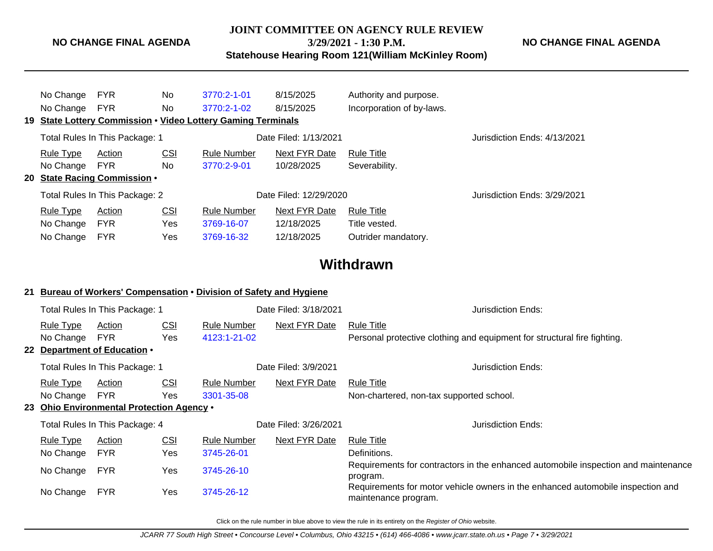**JOINT COMMITTEE ON AGENCY RULE REVIEW**

**3/29/2021 - 1:30 P.M.**

**Statehouse Hearing Room 121(William McKinley Room)**

| No Change<br>No Change        | FYR<br><b>FYR</b>                                    | No.<br>No.        | 3770:2-1-01<br>3770:2-1-02<br>19 State Lottery Commission . Video Lottery Gaming Terminals | 8/15/2025<br>8/15/2025      | Authority and purpose.<br>Incorporation of by-laws. |                              |
|-------------------------------|------------------------------------------------------|-------------------|--------------------------------------------------------------------------------------------|-----------------------------|-----------------------------------------------------|------------------------------|
|                               | Total Rules In This Package: 1                       |                   |                                                                                            | Date Filed: 1/13/2021       |                                                     | Jurisdiction Ends: 4/13/2021 |
| <u>Rule Type</u><br>No Change | Action<br><b>FYR</b><br>20 State Racing Commission . | <u>CSI</u><br>No. | <b>Rule Number</b><br>3770:2-9-01                                                          | Next FYR Date<br>10/28/2025 | Rule Title<br>Severability.                         |                              |
|                               | Total Rules In This Package: 2                       |                   |                                                                                            | Date Filed: 12/29/2020      | Jurisdiction Ends: 3/29/2021                        |                              |
| Rule Type                     | Action                                               | <b>CSI</b>        | <b>Rule Number</b>                                                                         | Next FYR Date               | <b>Rule Title</b>                                   |                              |
| No Change                     | <b>FYR</b>                                           | Yes               | 3769-16-07                                                                                 | 12/18/2025                  | Title vested.                                       |                              |
| No Change                     | <b>FYR</b>                                           | Yes               | 3769-16-32                                                                                 | 12/18/2025                  | Outrider mandatory.                                 |                              |

# **Withdrawn**

#### **21 Bureau of Workers' Compensation** • **Division of Safety and Hygiene**

| Total Rules In This Package: 1 |                                           |                       | Date Filed: 3/18/2021 | Jurisdiction Ends: |                                                                                                         |
|--------------------------------|-------------------------------------------|-----------------------|-----------------------|--------------------|---------------------------------------------------------------------------------------------------------|
| <b>Rule Type</b>               | Action                                    | <b>CSI</b>            | Rule Number           | Next FYR Date      | <b>Rule Title</b>                                                                                       |
| No Change                      | <b>FYR</b>                                | Yes                   | 4123:1-21-02          |                    | Personal protective clothing and equipment for structural fire fighting.                                |
|                                | 22 Department of Education .              |                       |                       |                    |                                                                                                         |
| Total Rules In This Package: 1 |                                           |                       | Date Filed: 3/9/2021  |                    | Jurisdiction Ends:                                                                                      |
| <b>Rule Type</b>               | Action                                    | <b>CSI</b>            | Rule Number           | Next FYR Date      | Rule Title                                                                                              |
| No Change                      | <b>FYR</b>                                | Yes                   | 3301-35-08            |                    | Non-chartered, non-tax supported school.                                                                |
|                                | 23 Ohio Environmental Protection Agency • |                       |                       |                    |                                                                                                         |
| Total Rules In This Package: 4 |                                           | Date Filed: 3/26/2021 |                       | Jurisdiction Ends: |                                                                                                         |
| <b>Rule Type</b>               | Action                                    | <b>CSI</b>            | <b>Rule Number</b>    | Next FYR Date      | <b>Rule Title</b>                                                                                       |
| No Change                      | <b>FYR</b>                                | Yes                   | 3745-26-01            |                    | Definitions.                                                                                            |
| No Change                      | <b>FYR</b>                                | Yes                   | 3745-26-10            |                    | Requirements for contractors in the enhanced automobile inspection and maintenance<br>program.          |
| No Change                      | <b>FYR</b>                                | Yes                   | 3745-26-12            |                    | Requirements for motor vehicle owners in the enhanced automobile inspection and<br>maintenance program. |
|                                |                                           |                       |                       |                    |                                                                                                         |

Click on the rule number in blue above to view the rule in its entirety on the Register of Ohio website.

**NO CHANGE FINAL AGENDA**